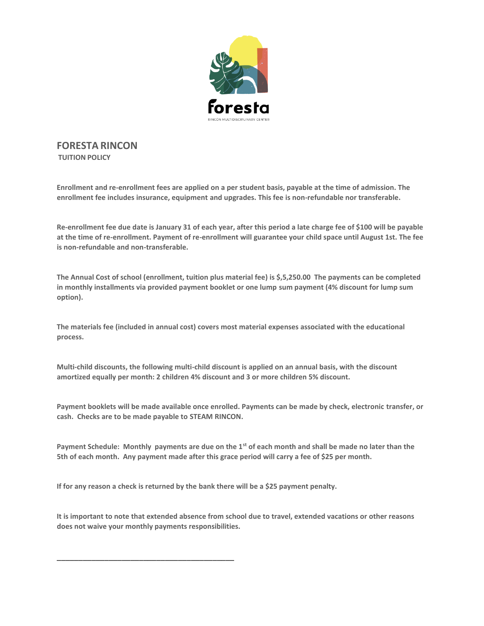

**FORESTA RINCON TUITION POLICY**

**Enrollment and re-enrollment fees are applied on a per student basis, payable at the time of admission. The enrollment fee includes insurance, equipment and upgrades. This fee is non-refundable nor transferable.** 

**Re-enrollment fee due date is January 31 of each year, after this period a late charge fee of \$100 will be payable at the time of re-enrollment. Payment of re-enrollment will guarantee your child space until August 1st. The fee is non-refundable and non-transferable.** 

**The Annual Cost of school (enrollment, tuition plus material fee) is \$,5,250.00 The payments can be completed in monthly installments via provided payment booklet or one lump sum payment (4% discount for lump sum option).**

**The materials fee (included in annual cost) covers most material expenses associated with the educational process.**

**Multi-child discounts, the following multi-child discount is applied on an annual basis, with the discount amortized equally per month: 2 children 4% discount and 3 or more children 5% discount.**

**Payment booklets will be made available once enrolled. Payments can be made by check, electronic transfer, or cash. Checks are to be made payable to STEAM RINCON.**

**Payment Schedule: Monthly payments are due on the 1st of each month and shall be made no later than the 5th of each month. Any payment made after this grace period will carry a fee of \$25 per month.**

**If for any reason a check is returned by the bank there will be a \$25 payment penalty.**

\_\_\_\_\_\_\_\_\_\_\_\_\_\_\_\_\_\_\_\_\_\_\_\_\_\_\_\_\_\_\_\_\_\_\_\_\_\_\_\_\_

**It is important to note that extended absence from school due to travel, extended vacations or other reasons does not waive your monthly payments responsibilities.**